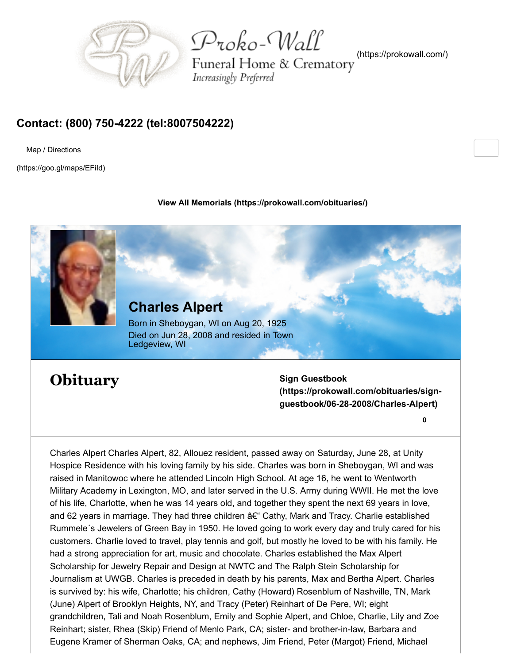

Proko-Wall

Funeral Home & Crematory Increasingly Preferred

[\(https://prokowall.com/\)](https://prokowall.com/)

**0**

## **[Contact: \(800\) 750-4222 \(tel:8007504222\)](tel:8007504222)**

Map / Directions

[\(https://goo.gl/maps/EFiId\)](https://goo.gl/maps/EFiId)

## **[View All Memorials \(https://prokowall.com/obituaries/\)](https://prokowall.com/obituaries/)**



Charles Alpert Charles Alpert, 82, Allouez resident, passed away on Saturday, June 28, at Unity Hospice Residence with his loving family by his side. Charles was born in Sheboygan, WI and was raised in Manitowoc where he attended Lincoln High School. At age 16, he went to Wentworth Military Academy in Lexington, MO, and later served in the U.S. Army during WWII. He met the love of his life, Charlotte, when he was 14 years old, and together they spent the next 69 years in love, and 62 years in marriage. They had three children – Cathy, Mark and Tracy. Charlie established Rummele´s Jewelers of Green Bay in 1950. He loved going to work every day and truly cared for his customers. Charlie loved to travel, play tennis and golf, but mostly he loved to be with his family. He had a strong appreciation for art, music and chocolate. Charles established the Max Alpert Scholarship for Jewelry Repair and Design at NWTC and The Ralph Stein Scholarship for Journalism at UWGB. Charles is preceded in death by his parents, Max and Bertha Alpert. Charles is survived by: his wife, Charlotte; his children, Cathy (Howard) Rosenblum of Nashville, TN, Mark (June) Alpert of Brooklyn Heights, NY, and Tracy (Peter) Reinhart of De Pere, WI; eight grandchildren, Tali and Noah Rosenblum, Emily and Sophie Alpert, and Chloe, Charlie, Lily and Zoe Reinhart; sister, Rhea (Skip) Friend of Menlo Park, CA; sister- and brother-in-law, Barbara and Eugene Kramer of Sherman Oaks, CA; and nephews, Jim Friend, Peter (Margot) Friend, Michael